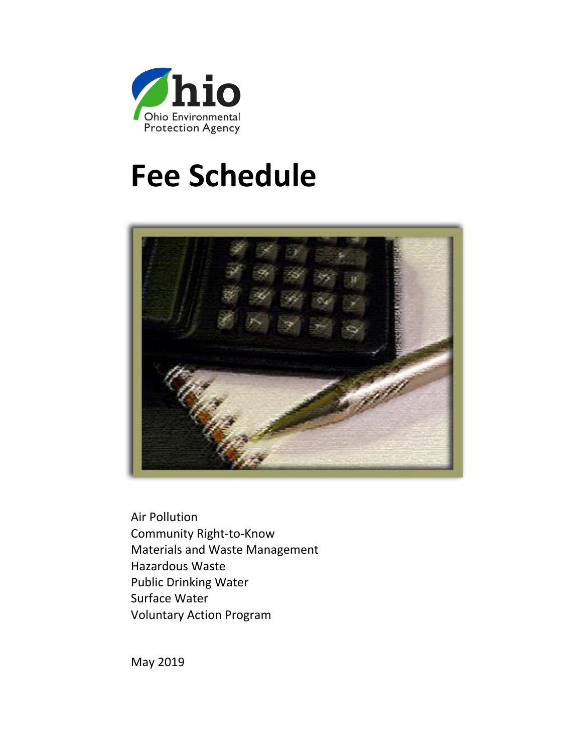

# **Fee Schedule**



Air Pollution Community Right-to-Know Materials and Waste Management Hazardous Waste Public Drinking Water Surface Water Voluntary Action Program

May 2019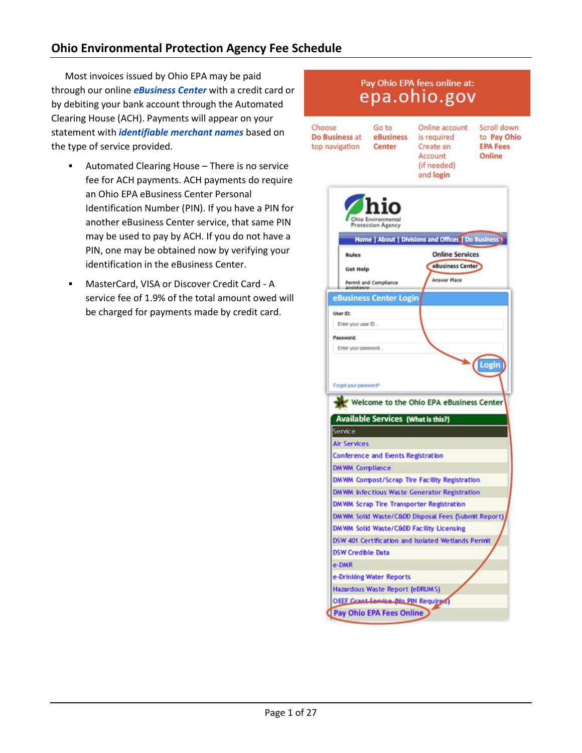# **Ohio Environmental Protection Agency Fee Schedule**

Most invoices issued by Ohio EPA may be paid through our online *[eBusiness Center](https://ebiz.epa.ohio.gov/)* with a credit card or by debiting your bank account through the Automated Clearing House (ACH). Payments will appear on your statement with *[identifiable merchant names](http://epa.ohio.gov/Portals/43/PaymentFees.pdf)* based on the type of service provided.

- Automated Clearing House There is no service fee for ACH payments. ACH payments do require an Ohio EPA eBusiness Center Personal Identification Number (PIN). If you have a PIN for another eBusiness Center service, that same PIN may be used to pay by ACH. If you do not have a PIN, one may be obtained now by verifying your identification in the eBusiness Center.
- MasterCard, VISA or Discover Credit Card A service fee of 1.9% of the total amount owed will be charged for payments made by credit card.

# Pay Ohio EPA fees online at: epa.ohio.gov

Choose Do Business at top navigation

Go to Online account eBusiness is required Center Create an Account (if needed)

Scroll down to Pay Ohio **EPA Fees** Online

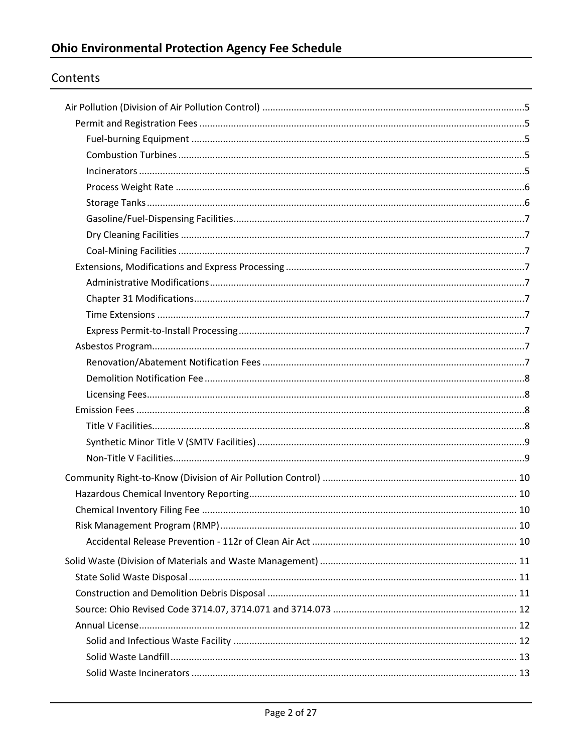# Contents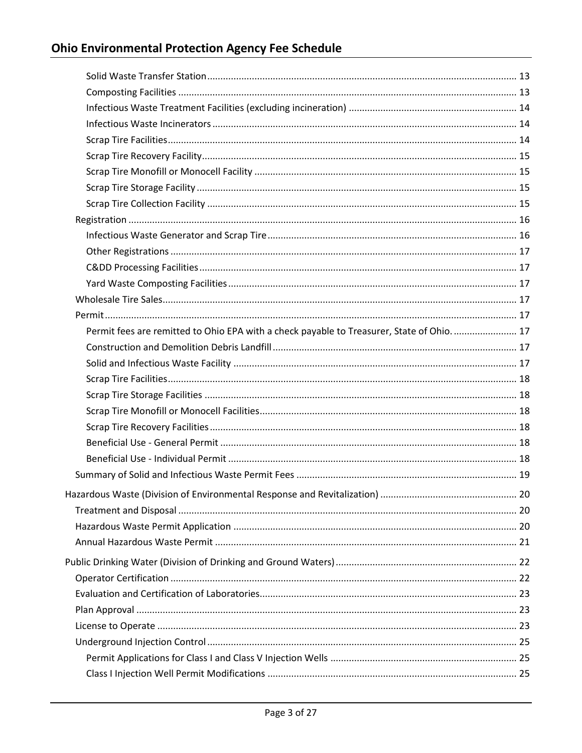| Permit fees are remitted to Ohio EPA with a check payable to Treasurer, State of Ohio 17 |  |
|------------------------------------------------------------------------------------------|--|
|                                                                                          |  |
|                                                                                          |  |
|                                                                                          |  |
|                                                                                          |  |
|                                                                                          |  |
|                                                                                          |  |
|                                                                                          |  |
|                                                                                          |  |
|                                                                                          |  |
|                                                                                          |  |
|                                                                                          |  |
|                                                                                          |  |
|                                                                                          |  |
|                                                                                          |  |
|                                                                                          |  |
|                                                                                          |  |
|                                                                                          |  |
|                                                                                          |  |
|                                                                                          |  |
|                                                                                          |  |
|                                                                                          |  |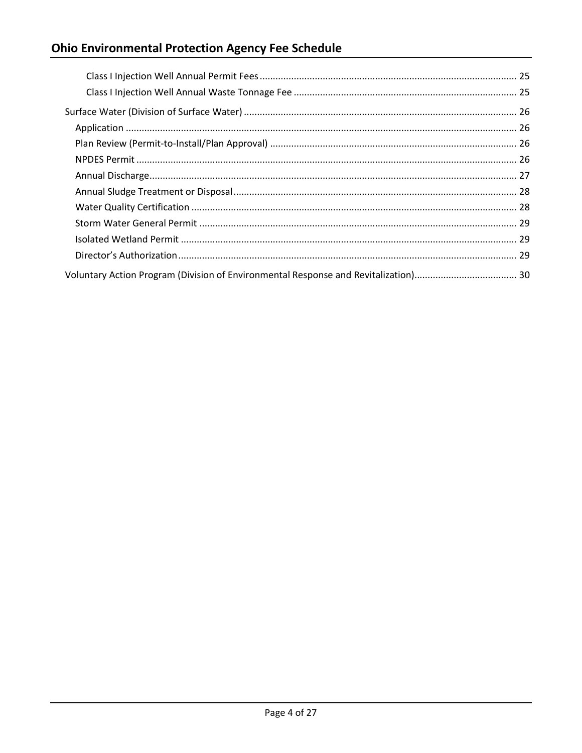# **Ohio Environmental Protection Agency Fee Schedule**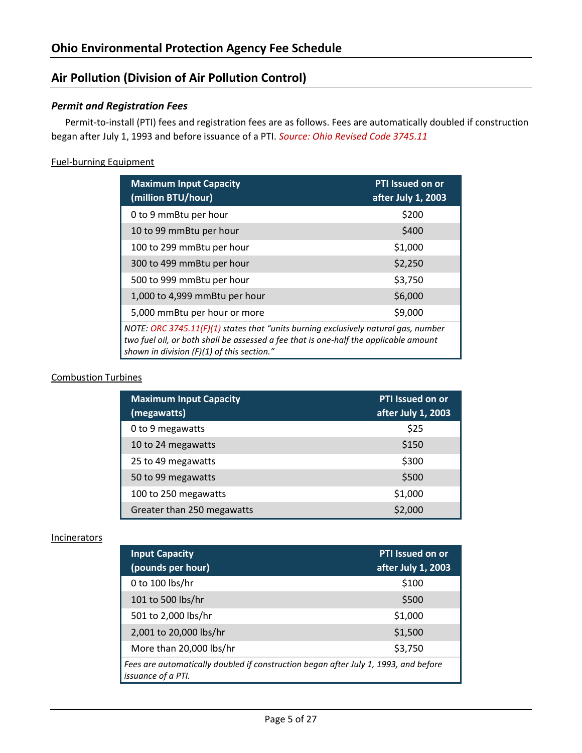# <span id="page-5-0"></span>**Air Pollution (Division of Air Pollution Control)**

# <span id="page-5-1"></span>*Permit and Registration Fees*

Permit-to-install (PTI) fees and registration fees are as follows. Fees are automatically doubled if construction began after July 1, 1993 and before issuance of a PTI. *Source: Ohio Revised Code 3745.11*

## <span id="page-5-2"></span>Fuel-burning Equipment

| <b>Maximum Input Capacity</b><br>(million BTU/hour)                                                                                                                                                                        | <b>PTI Issued on or</b><br>after July 1, 2003 |  |
|----------------------------------------------------------------------------------------------------------------------------------------------------------------------------------------------------------------------------|-----------------------------------------------|--|
| 0 to 9 mmBtu per hour                                                                                                                                                                                                      | \$200                                         |  |
| 10 to 99 mmBtu per hour                                                                                                                                                                                                    | \$400                                         |  |
| 100 to 299 mmBtu per hour                                                                                                                                                                                                  | \$1,000                                       |  |
| 300 to 499 mmBtu per hour                                                                                                                                                                                                  | \$2,250                                       |  |
| 500 to 999 mmBtu per hour                                                                                                                                                                                                  | \$3,750                                       |  |
| 1,000 to 4,999 mmBtu per hour                                                                                                                                                                                              | \$6,000                                       |  |
| 5,000 mmBtu per hour or more                                                                                                                                                                                               | \$9,000                                       |  |
| NOTE: ORC 3745.11(F)(1) states that "units burning exclusively natural gas, number<br>two fuel oil, or both shall be assessed a fee that is one-half the applicable amount<br>shown in division $(F)(1)$ of this section." |                                               |  |

#### <span id="page-5-3"></span>Combustion Turbines

| <b>Maximum Input Capacity</b><br>(megawatts) | <b>PTI Issued on or</b><br>after July 1, 2003 |
|----------------------------------------------|-----------------------------------------------|
| 0 to 9 megawatts                             | \$25                                          |
| 10 to 24 megawatts                           | \$150                                         |
| 25 to 49 megawatts                           | \$300                                         |
| 50 to 99 megawatts                           | \$500                                         |
| 100 to 250 megawatts                         | \$1,000                                       |
| Greater than 250 megawatts                   | \$2,000                                       |

#### <span id="page-5-4"></span>**Incinerators**

| <b>Input Capacity</b><br>(pounds per hour)                                                                       | <b>PTI</b> Issued on or<br>after July 1, 2003 |  |
|------------------------------------------------------------------------------------------------------------------|-----------------------------------------------|--|
| 0 to 100 lbs/hr                                                                                                  | \$100                                         |  |
| 101 to 500 lbs/hr                                                                                                | \$500                                         |  |
| 501 to 2,000 lbs/hr                                                                                              | \$1,000                                       |  |
| 2,001 to 20,000 lbs/hr                                                                                           | \$1,500                                       |  |
| More than 20,000 lbs/hr                                                                                          | \$3,750                                       |  |
| Fees are automatically doubled if construction began after July 1, 1993, and before<br><i>issuance of a PTI.</i> |                                               |  |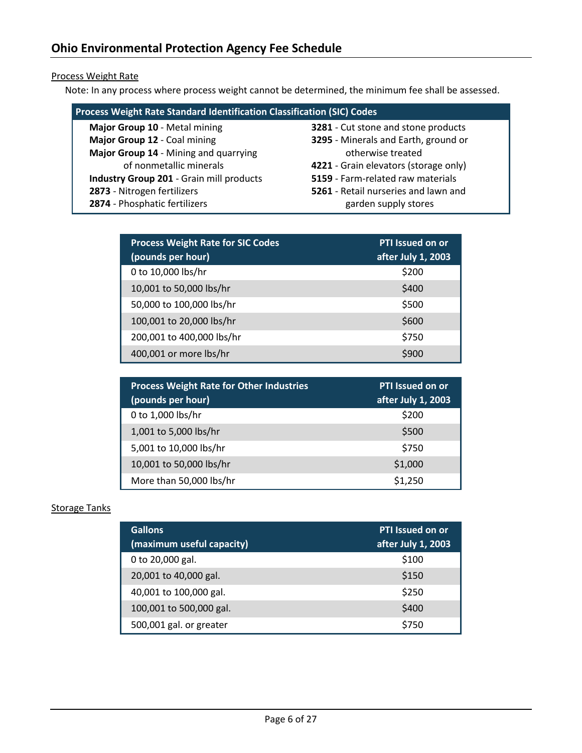# <span id="page-6-0"></span>Process Weight Rate

Note: In any process where process weight cannot be determined, the minimum fee shall be assessed.

| <b>Process Weight Rate Standard Identification Classification (SIC) Codes</b> |                                       |  |  |
|-------------------------------------------------------------------------------|---------------------------------------|--|--|
| Major Group 10 - Metal mining                                                 | 3281 - Cut stone and stone products   |  |  |
| Major Group 12 - Coal mining                                                  | 3295 - Minerals and Earth, ground or  |  |  |
| Major Group 14 - Mining and quarrying                                         | otherwise treated                     |  |  |
| of nonmetallic minerals                                                       | 4221 - Grain elevators (storage only) |  |  |
| Industry Group 201 - Grain mill products                                      | 5159 - Farm-related raw materials     |  |  |
| 2873 - Nitrogen fertilizers                                                   | 5261 - Retail nurseries and lawn and  |  |  |
| 2874 - Phosphatic fertilizers                                                 | garden supply stores                  |  |  |

| <b>Process Weight Rate for SIC Codes</b><br>(pounds per hour) | <b>PTI Issued on or</b><br>after July 1, 2003 |
|---------------------------------------------------------------|-----------------------------------------------|
| 0 to 10,000 lbs/hr                                            | \$200                                         |
| 10,001 to 50,000 lbs/hr                                       | \$400                                         |
| 50,000 to 100,000 lbs/hr                                      | \$500                                         |
| 100,001 to 20,000 lbs/hr                                      | \$600                                         |
| 200,001 to 400,000 lbs/hr                                     | \$750                                         |
| 400,001 or more lbs/hr                                        | \$900                                         |

| <b>Process Weight Rate for Other Industries</b><br>(pounds per hour) | PTI Issued on or<br>after July 1, 2003 |
|----------------------------------------------------------------------|----------------------------------------|
| 0 to 1,000 lbs/hr                                                    | \$200                                  |
| 1,001 to 5,000 lbs/hr                                                | \$500                                  |
| 5,001 to 10,000 lbs/hr                                               | \$750                                  |
| 10,001 to 50,000 lbs/hr                                              | \$1,000                                |
| More than 50,000 lbs/hr                                              | \$1,250                                |

# <span id="page-6-1"></span>Storage Tanks

| <b>Gallons</b><br>(maximum useful capacity) | <b>PTI Issued on or</b><br>after July 1, 2003 |
|---------------------------------------------|-----------------------------------------------|
| 0 to 20,000 gal.                            | \$100                                         |
| 20,001 to 40,000 gal.                       | \$150                                         |
| 40,001 to 100,000 gal.                      | \$250                                         |
| 100,001 to 500,000 gal.                     | \$400                                         |
| 500,001 gal. or greater                     | \$750                                         |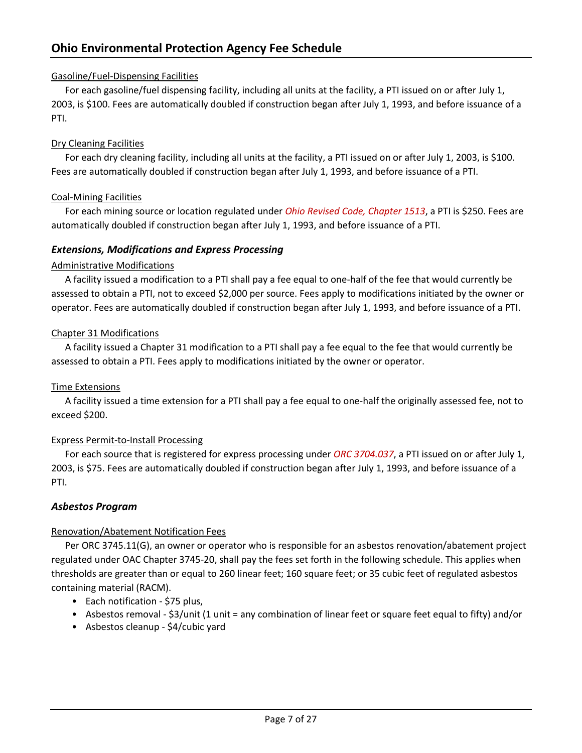# <span id="page-7-0"></span>Gasoline/Fuel-Dispensing Facilities

For each gasoline/fuel dispensing facility, including all units at the facility, a PTI issued on or after July 1, 2003, is \$100. Fees are automatically doubled if construction began after July 1, 1993, and before issuance of a PTI.

# <span id="page-7-1"></span>Dry Cleaning Facilities

For each dry cleaning facility, including all units at the facility, a PTI issued on or after July 1, 2003, is \$100. Fees are automatically doubled if construction began after July 1, 1993, and before issuance of a PTI.

# <span id="page-7-2"></span>Coal-Mining Facilities

For each mining source or location regulated under *Ohio Revised Code, Chapter 1513*, a PTI is \$250. Fees are automatically doubled if construction began after July 1, 1993, and before issuance of a PTI.

# <span id="page-7-3"></span>*Extensions, Modifications and Express Processing*

# <span id="page-7-4"></span>Administrative Modifications

A facility issued a modification to a PTI shall pay a fee equal to one-half of the fee that would currently be assessed to obtain a PTI, not to exceed \$2,000 per source. Fees apply to modifications initiated by the owner or operator. Fees are automatically doubled if construction began after July 1, 1993, and before issuance of a PTI.

# <span id="page-7-5"></span>Chapter 31 Modifications

A facility issued a Chapter 31 modification to a PTI shall pay a fee equal to the fee that would currently be assessed to obtain a PTI. Fees apply to modifications initiated by the owner or operator.

# <span id="page-7-6"></span>Time Extensions

A facility issued a time extension for a PTI shall pay a fee equal to one-half the originally assessed fee, not to exceed \$200.

# <span id="page-7-7"></span>Express Permit-to-Install Processing

For each source that is registered for express processing under *ORC 3704.037*, a PTI issued on or after July 1, 2003, is \$75. Fees are automatically doubled if construction began after July 1, 1993, and before issuance of a PTI.

# <span id="page-7-8"></span>*Asbestos Program*

# <span id="page-7-9"></span>Renovation/Abatement Notification Fees

Per ORC 3745.11(G), an owner or operator who is responsible for an asbestos renovation/abatement project regulated under OAC Chapter 3745-20, shall pay the fees set forth in the following schedule. This applies when thresholds are greater than or equal to 260 linear feet; 160 square feet; or 35 cubic feet of regulated asbestos containing material (RACM).

- Each notification \$75 plus,
- Asbestos removal \$3/unit (1 unit = any combination of linear feet or square feet equal to fifty) and/or
- Asbestos cleanup \$4/cubic yard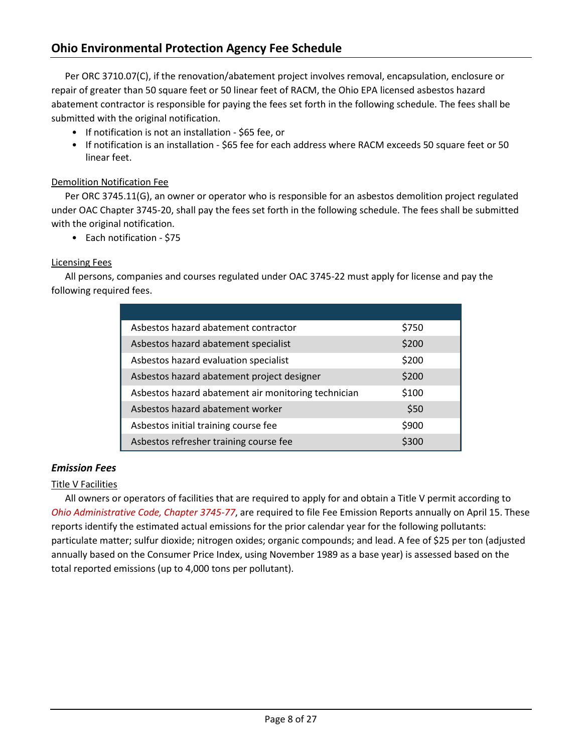Per ORC 3710.07(C), if the renovation/abatement project involves removal, encapsulation, enclosure or repair of greater than 50 square feet or 50 linear feet of RACM, the Ohio EPA licensed asbestos hazard abatement contractor is responsible for paying the fees set forth in the following schedule. The fees shall be submitted with the original notification.

- If notification is not an installation \$65 fee, or
- If notification is an installation \$65 fee for each address where RACM exceeds 50 square feet or 50 linear feet.

# <span id="page-8-0"></span>Demolition Notification Fee

Per ORC 3745.11(G), an owner or operator who is responsible for an asbestos demolition project regulated under OAC Chapter 3745-20, shall pay the fees set forth in the following schedule. The fees shall be submitted with the original notification.

• Each notification - \$75

# <span id="page-8-1"></span>Licensing Fees

All persons, companies and courses regulated under OAC 3745-22 must apply for license and pay the following required fees.

| Asbestos hazard abatement contractor                | \$750 |
|-----------------------------------------------------|-------|
| Asbestos hazard abatement specialist                | \$200 |
| Asbestos hazard evaluation specialist               | \$200 |
| Asbestos hazard abatement project designer          | \$200 |
| Asbestos hazard abatement air monitoring technician | \$100 |
| Asbestos hazard abatement worker                    | \$50  |
| Asbestos initial training course fee                | \$900 |
| Asbestos refresher training course fee              | \$300 |

# <span id="page-8-2"></span>*Emission Fees*

# <span id="page-8-3"></span>Title V Facilities

All owners or operators of facilities that are required to apply for and obtain a Title V permit according to *Ohio Administrative Code, Chapter 3745-77*, are required to file Fee Emission Reports annually on April 15. These reports identify the estimated actual emissions for the prior calendar year for the following pollutants: particulate matter; sulfur dioxide; nitrogen oxides; organic compounds; and lead. A fee of \$25 per ton (adjusted annually based on the Consumer Price Index, using November 1989 as a base year) is assessed based on the total reported emissions (up to 4,000 tons per pollutant).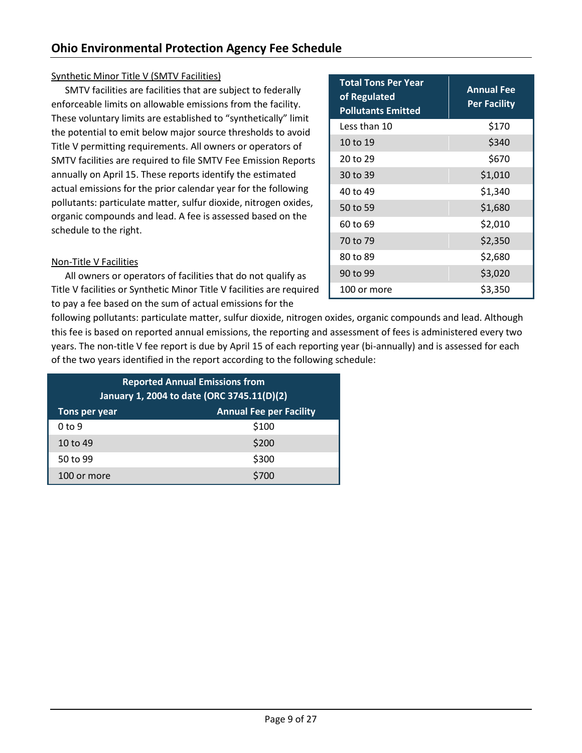# <span id="page-9-0"></span>Synthetic Minor Title V (SMTV Facilities)

SMTV facilities are facilities that are subject to federally enforceable limits on allowable emissions from the facility. These voluntary limits are established to "synthetically" limit the potential to emit below major source thresholds to avoid Title V permitting requirements. All owners or operators of SMTV facilities are required to file SMTV Fee Emission Reports annually on April 15. These reports identify the estimated actual emissions for the prior calendar year for the following pollutants: particulate matter, sulfur dioxide, nitrogen oxides, organic compounds and lead. A fee is assessed based on the schedule to the right.

<span id="page-9-1"></span>

|  | Non-Title V Facilities |
|--|------------------------|
|  |                        |

All owners or operators of facilities that do not qualify as Title V facilities or Synthetic Minor Title V facilities are required to pay a fee based on the sum of actual emissions for the

following pollutants: particulate matter, sulfur dioxide, nitrogen oxides, organic compounds and lead. Although this fee is based on reported annual emissions, the reporting and assessment of fees is administered every two years. The non-title V fee report is due by April 15 of each reporting year (bi-annually) and is assessed for each of the two years identified in the report according to the following schedule:

| <b>Reported Annual Emissions from</b><br>January 1, 2004 to date (ORC 3745.11(D)(2) |       |  |
|-------------------------------------------------------------------------------------|-------|--|
| <b>Annual Fee per Facility</b><br>Tons per year                                     |       |  |
| 0 <sub>to</sub> 9                                                                   | \$100 |  |
| 10 to 49                                                                            | \$200 |  |
| 50 to 99                                                                            | \$300 |  |
| 100 or more                                                                         | \$700 |  |

| <b>Total Tons Per Year</b><br>of Regulated<br><b>Pollutants Emitted</b> | <b>Annual Fee</b><br><b>Per Facility</b> |
|-------------------------------------------------------------------------|------------------------------------------|
| Less than 10                                                            | \$170                                    |
| 10 to 19                                                                | \$340                                    |
| 20 to 29                                                                | \$670                                    |
| 30 to 39                                                                | \$1,010                                  |
| 40 to 49                                                                | \$1,340                                  |
| 50 to 59                                                                | \$1,680                                  |
| 60 to 69                                                                | \$2,010                                  |
| 70 to 79                                                                | \$2,350                                  |
| 80 to 89                                                                | \$2,680                                  |
| 90 to 99                                                                | \$3,020                                  |
| 100 or more                                                             | \$3,350                                  |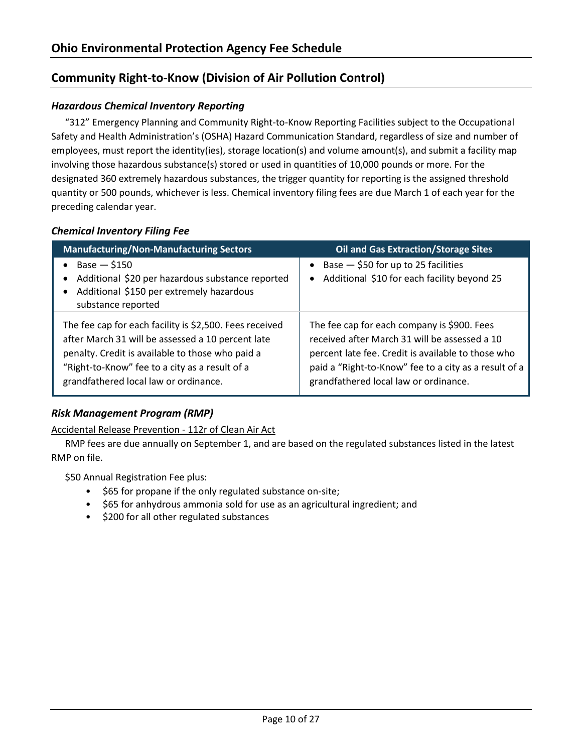# <span id="page-10-0"></span>**Community Right-to-Know (Division of Air Pollution Control)**

# <span id="page-10-1"></span>*Hazardous Chemical Inventory Reporting*

"312" Emergency Planning and Community Right-to-Know Reporting Facilities subject to the Occupational Safety and Health Administration's (OSHA) Hazard Communication Standard, regardless of size and number of employees, must report the identity(ies), storage location(s) and volume amount(s), and submit a facility map involving those hazardous substance(s) stored or used in quantities of 10,000 pounds or more. For the designated 360 extremely hazardous substances, the trigger quantity for reporting is the assigned threshold quantity or 500 pounds, whichever is less. Chemical inventory filing fees are due March 1 of each year for the preceding calendar year.

# <span id="page-10-2"></span>*Chemical Inventory Filing Fee*

| <b>Manufacturing/Non-Manufacturing Sectors</b>          | <b>Oil and Gas Extraction/Storage Sites</b>           |
|---------------------------------------------------------|-------------------------------------------------------|
| $Base - $150$                                           | Base $-$ \$50 for up to 25 facilities                 |
| Additional \$20 per hazardous substance reported        | $\bullet$                                             |
| Additional \$150 per extremely hazardous                | Additional \$10 for each facility beyond 25           |
| substance reported                                      | $\bullet$                                             |
| The fee cap for each facility is \$2,500. Fees received | The fee cap for each company is \$900. Fees           |
| after March 31 will be assessed a 10 percent late       | received after March 31 will be assessed a 10         |
| penalty. Credit is available to those who paid a        | percent late fee. Credit is available to those who    |
| "Right-to-Know" fee to a city as a result of a          | paid a "Right-to-Know" fee to a city as a result of a |
| grandfathered local law or ordinance.                   | grandfathered local law or ordinance.                 |

# <span id="page-10-3"></span>*Risk Management Program (RMP)*

<span id="page-10-4"></span>Accidental Release Prevention - 112r of Clean Air Act

RMP fees are due annually on September 1, and are based on the regulated substances listed in the latest RMP on file.

\$50 Annual Registration Fee plus:

- \$65 for propane if the only regulated substance on-site;
- \$65 for anhydrous ammonia sold for use as an agricultural ingredient; and
- \$200 for all other regulated substances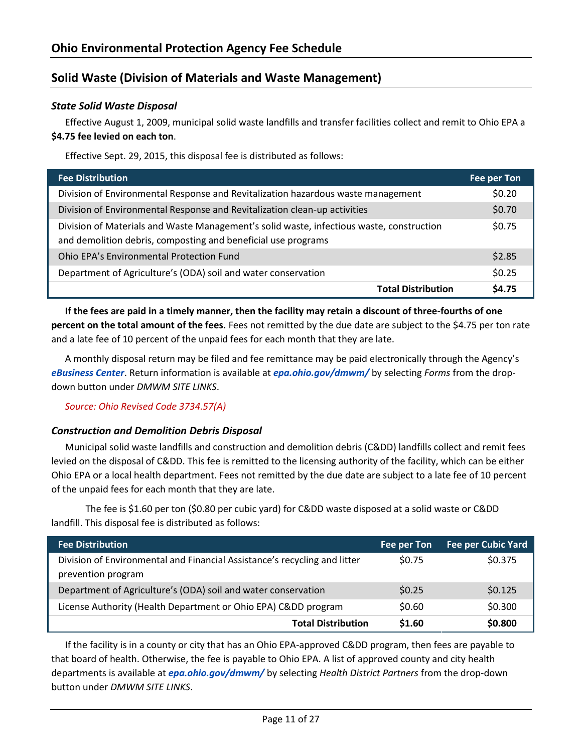# <span id="page-11-0"></span>**Solid Waste (Division of Materials and Waste Management)**

## <span id="page-11-1"></span>*State Solid Waste Disposal*

Effective August 1, 2009, municipal solid waste landfills and transfer facilities collect and remit to Ohio EPA a **\$4.75 fee levied on each ton**.

Effective Sept. 29, 2015, this disposal fee is distributed as follows:

| <b>Fee Distribution</b>                                                                                                                                   | Fee per Ton |
|-----------------------------------------------------------------------------------------------------------------------------------------------------------|-------------|
| Division of Environmental Response and Revitalization hazardous waste management                                                                          | \$0.20      |
| Division of Environmental Response and Revitalization clean-up activities                                                                                 | \$0.70      |
| Division of Materials and Waste Management's solid waste, infectious waste, construction<br>and demolition debris, composting and beneficial use programs | \$0.75      |
| Ohio EPA's Environmental Protection Fund                                                                                                                  | \$2.85      |
| Department of Agriculture's (ODA) soil and water conservation                                                                                             | \$0.25      |
| <b>Total Distribution</b>                                                                                                                                 | \$4.75      |

**If the fees are paid in a timely manner, then the facility may retain a discount of three-fourths of one percent on the total amount of the fees.** Fees not remitted by the due date are subject to the \$4.75 per ton rate and a late fee of 10 percent of the unpaid fees for each month that they are late.

A monthly disposal return may be filed and fee remittance may be paid electronically through the Agency's *[eBusiness Center](https://ebiz.epa.ohio.gov/)*. Return information is available at *[epa.ohio.gov/dmwm/](https://epa.ohio.gov/dmwm/)* by selecting *Forms* from the dropdown button under *DMWM SITE LINKS*.

*Source: Ohio Revised Code 3734.57(A)*

#### <span id="page-11-2"></span>*Construction and Demolition Debris Disposal*

Municipal solid waste landfills and construction and demolition debris (C&DD) landfills collect and remit fees levied on the disposal of C&DD. This fee is remitted to the licensing authority of the facility, which can be either Ohio EPA or a local health department. Fees not remitted by the due date are subject to a late fee of 10 percent of the unpaid fees for each month that they are late.

The fee is \$1.60 per ton (\$0.80 per cubic yard) for C&DD waste disposed at a solid waste or C&DD landfill. This disposal fee is distributed as follows:

| <b>Fee Distribution</b>                                                                         | Fee per Ton | <b>Fee per Cubic Yard</b> |
|-------------------------------------------------------------------------------------------------|-------------|---------------------------|
| Division of Environmental and Financial Assistance's recycling and litter<br>prevention program | \$0.75      | \$0.375                   |
| Department of Agriculture's (ODA) soil and water conservation                                   | \$0.25      | \$0.125                   |
| License Authority (Health Department or Ohio EPA) Cⅅ program                                    | \$0.60      | \$0.300                   |
| <b>Total Distribution</b>                                                                       | \$1.60      | \$0.800                   |

If the facility is in a county or city that has an Ohio EPA-approved C&DD program, then fees are payable to that board of health. Otherwise, the fee is payable to Ohio EPA. A list of approved county and city health departments is available at *[epa.ohio.gov/dmwm/](https://epa.ohio.gov/dmwm/)* by selecting *Health District Partners* from the drop-down button under *DMWM SITE LINKS*.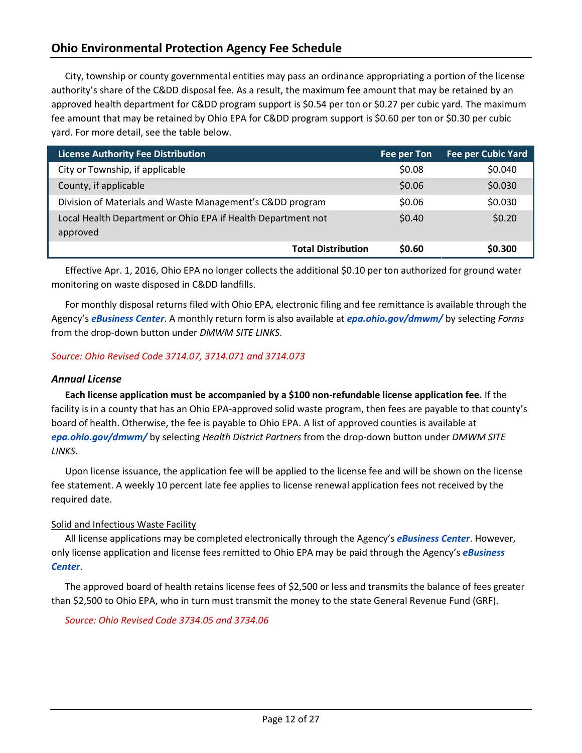# **Ohio Environmental Protection Agency Fee Schedule**

City, township or county governmental entities may pass an ordinance appropriating a portion of the license authority's share of the C&DD disposal fee. As a result, the maximum fee amount that may be retained by an approved health department for C&DD program support is \$0.54 per ton or \$0.27 per cubic yard. The maximum fee amount that may be retained by Ohio EPA for C&DD program support is \$0.60 per ton or \$0.30 per cubic yard. For more detail, see the table below.

| <b>License Authority Fee Distribution</b>                                | <b>Fee per Ton</b> | <b>Fee per Cubic Yard</b> |
|--------------------------------------------------------------------------|--------------------|---------------------------|
| City or Township, if applicable                                          | \$0.08             | \$0.040                   |
| County, if applicable                                                    | \$0.06             | \$0.030                   |
| Division of Materials and Waste Management's Cⅅ program                  | \$0.06             | \$0.030                   |
| Local Health Department or Ohio EPA if Health Department not<br>approved | \$0.40             | \$0.20                    |
| <b>Total Distribution</b>                                                | \$0.60             | \$0.300                   |

Effective Apr. 1, 2016, Ohio EPA no longer collects the additional \$0.10 per ton authorized for ground water monitoring on waste disposed in C&DD landfills.

For monthly disposal returns filed with Ohio EPA, electronic filing and fee remittance is available through the Agency's *[eBusiness Center](https://ebiz.epa.ohio.gov/)*. A monthly return form is also available at *[epa.ohio.gov/dmwm/](https://epa.ohio.gov/dmwm/)* by selecting *Forms*  from the drop-down button under *DMWM SITE LINKS*.

#### <span id="page-12-0"></span>*Source: Ohio Revised Code 3714.07, 3714.071 and 3714.073*

# <span id="page-12-1"></span>*Annual License*

**Each license application must be accompanied by a \$100 non-refundable license application fee.** If the facility is in a county that has an Ohio EPA-approved solid waste program, then fees are payable to that county's board of health. Otherwise, the fee is payable to Ohio EPA. A list of approved counties is available at *[epa.ohio.gov/dmwm/](https://epa.ohio.gov/dmwm/)* by selecting *Health District Partners* from the drop-down button under *DMWM SITE LINKS*.

Upon license issuance, the application fee will be applied to the license fee and will be shown on the license fee statement. A weekly 10 percent late fee applies to license renewal application fees not received by the required date.

#### <span id="page-12-2"></span>Solid and Infectious Waste Facility

All license applications may be completed electronically through the Agency's *[eBusiness Center](https://ebiz.epa.ohio.gov/)*. However, only license application and license fees remitted to Ohio EPA may be paid through the Agency's *[eBusiness](https://ebiz.epa.ohio.gov/)  [Center](https://ebiz.epa.ohio.gov/)*.

The approved board of health retains license fees of \$2,500 or less and transmits the balance of fees greater than \$2,500 to Ohio EPA, who in turn must transmit the money to the state General Revenue Fund (GRF).

*Source: Ohio Revised Code 3734.05 and 3734.06*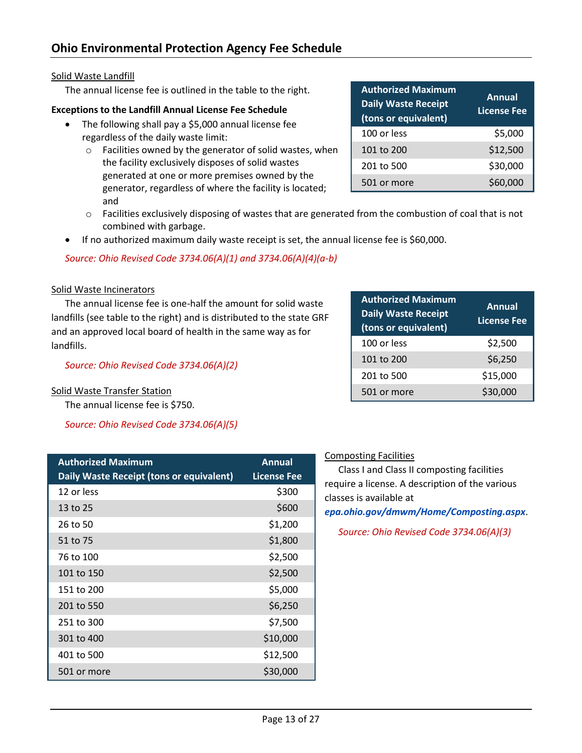# <span id="page-13-0"></span>Solid Waste Landfill

The annual license fee is outlined in the table to the right.

# **Exceptions to the Landfill Annual License Fee Schedule**

- The following shall pay a \$5,000 annual license fee regardless of the daily waste limit:
	- o Facilities owned by the generator of solid wastes, when the facility exclusively disposes of solid wastes generated at one or more premises owned by the generator, regardless of where the facility is located; and
	- o Facilities exclusively disposing of wastes that are generated from the combustion of coal that is not combined with garbage.
- If no authorized maximum daily waste receipt is set, the annual license fee is \$60,000.

*Source: Ohio Revised Code 3734.06(A)(1) and 3734.06(A)(4)(a-b)* 

#### <span id="page-13-1"></span>Solid Waste Incinerators

The annual license fee is one-half the amount for solid waste landfills (see table to the right) and is distributed to the state GRF and an approved local board of health in the same way as for landfills.

*Source: Ohio Revised Code 3734.06(A)(2)*

# <span id="page-13-2"></span>Solid Waste Transfer Station

The annual license fee is \$750.

*Source: Ohio Revised Code 3734.06(A)(5)*

| <b>Authorized Maximum</b><br>Daily Waste Receipt (tons or equivalent) | Annual<br>License Fee |
|-----------------------------------------------------------------------|-----------------------|
| 12 or less                                                            | \$300                 |
| 13 to 25                                                              | \$600                 |
| 26 to 50                                                              | \$1,200               |
| 51 to 75                                                              | \$1,800               |
| 76 to 100                                                             | \$2,500               |
| 101 to 150                                                            | \$2,500               |
| 151 to 200                                                            | \$5,000               |
| 201 to 550                                                            | \$6,250               |
| 251 to 300                                                            | \$7,500               |
| 301 to 400                                                            | \$10,000              |
| 401 to 500                                                            | \$12,500              |
| 501 or more                                                           | \$30,000              |

| <b>Authorized Maximum</b><br><b>Daily Waste Receipt</b><br>(tons or equivalent) | <b>Annual</b><br><b>License Fee</b> |
|---------------------------------------------------------------------------------|-------------------------------------|
| 100 or less                                                                     | \$2,500                             |
| 101 to 200                                                                      | \$6,250                             |
| 201 to 500                                                                      | \$15,000                            |
| 501 or more                                                                     | \$30,000                            |

# <span id="page-13-3"></span>Composting Facilities

Class I and Class II composting facilities require a license. A description of the various classes is available at

*[epa.ohio.gov/dmwm/Home/Composting.aspx](http://epa.ohio.gov/dmwm/Home/Composting.aspx)*.

*Source: Ohio Revised Code 3734.06(A)(3)*

| <b>Authorized Maximum</b><br><b>Daily Waste Receipt</b><br>(tons or equivalent) | Annual<br>License Fee |
|---------------------------------------------------------------------------------|-----------------------|
| 100 or less                                                                     | \$5,000               |
| 101 to 200                                                                      | \$12,500              |
| 201 to 500                                                                      | \$30,000              |
| 501 or more                                                                     | \$60,000              |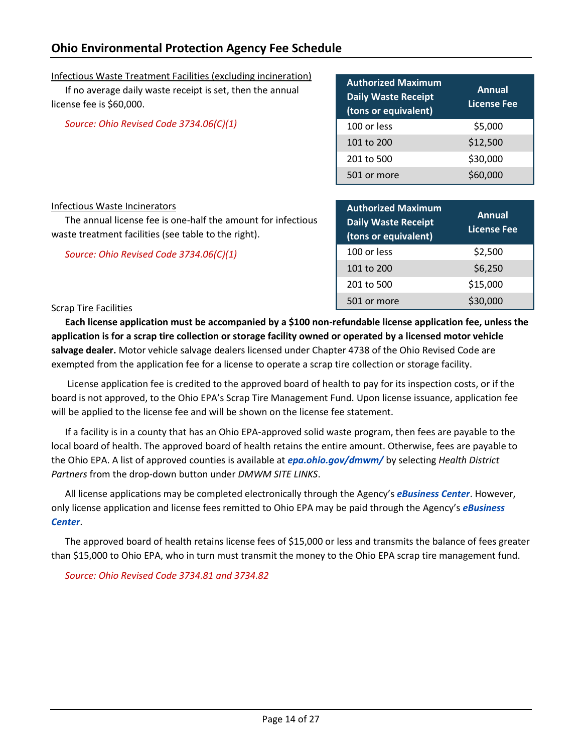# **Ohio Environmental Protection Agency Fee Schedule**

<span id="page-14-0"></span>Infectious Waste Treatment Facilities (excluding incineration) If no average daily waste receipt is set, then the annual license fee is \$60,000.

<span id="page-14-1"></span>*Source: Ohio Revised Code 3734.06(C)(1)*

| <b>Authorized Maximum</b><br><b>Daily Waste Receipt</b><br>(tons or equivalent) | Annual<br><b>License Fee</b> |
|---------------------------------------------------------------------------------|------------------------------|
| 100 or less                                                                     | \$5,000                      |
| 101 to 200                                                                      | \$12,500                     |
| 201 to 500                                                                      | \$30,000                     |
| 501 or more                                                                     | \$60,000                     |

#### Infectious Waste Incinerators

The annual license fee is one-half the amount for infectious waste treatment facilities (see table to the right).

<span id="page-14-2"></span>*Source: Ohio Revised Code 3734.06(C)(1)*

| <b>Authorized Maximum</b><br><b>Daily Waste Receipt</b><br>(tons or equivalent) | Annual<br><b>License Fee</b> |
|---------------------------------------------------------------------------------|------------------------------|
| 100 or less                                                                     | \$2,500                      |
| 101 to 200                                                                      | \$6,250                      |
| 201 to 500                                                                      | \$15,000                     |
| 501 or more                                                                     | \$30,000                     |

#### Scrap Tire Facilities

**Each license application must be accompanied by a \$100 non-refundable license application fee, unless the application is for a scrap tire collection or storage facility owned or operated by a licensed motor vehicle salvage dealer.** Motor vehicle salvage dealers licensed under Chapter 4738 of the Ohio Revised Code are exempted from the application fee for a license to operate a scrap tire collection or storage facility.

License application fee is credited to the approved board of health to pay for its inspection costs, or if the board is not approved, to the Ohio EPA's Scrap Tire Management Fund. Upon license issuance, application fee will be applied to the license fee and will be shown on the license fee statement.

If a facility is in a county that has an Ohio EPA-approved solid waste program, then fees are payable to the local board of health. The approved board of health retains the entire amount. Otherwise, fees are payable to the Ohio EPA. A list of approved counties is available at *[epa.ohio.gov/dmwm/](https://epa.ohio.gov/dmwm/)* by selecting *Health District Partners* from the drop-down button under *DMWM SITE LINKS*.

All license applications may be completed electronically through the Agency's *[eBusiness Center](https://ebiz.epa.ohio.gov/)*. However, only license application and license fees remitted to Ohio EPA may be paid through the Agency's *[eBusiness](https://ebiz.epa.ohio.gov/)  [Center](https://ebiz.epa.ohio.gov/)*.

The approved board of health retains license fees of \$15,000 or less and transmits the balance of fees greater than \$15,000 to Ohio EPA, who in turn must transmit the money to the Ohio EPA scrap tire management fund.

*Source: Ohio Revised Code 3734.81 and 3734.82*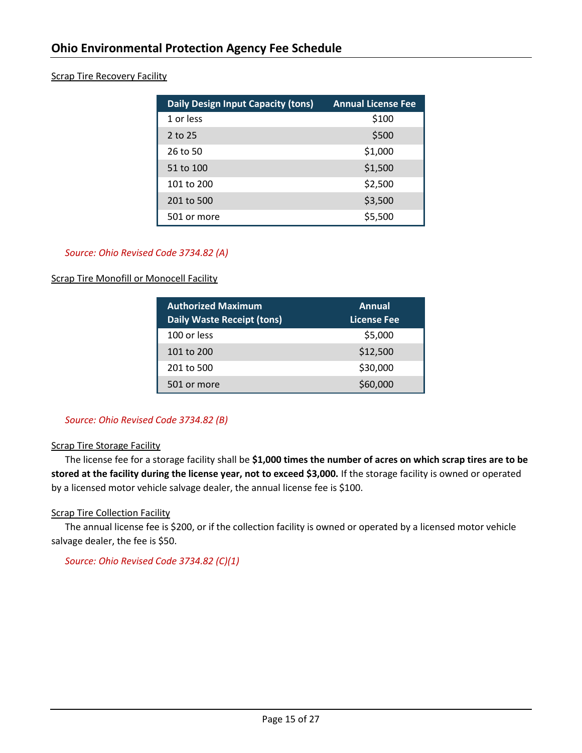## <span id="page-15-0"></span>Scrap Tire Recovery Facility

| <b>Daily Design Input Capacity (tons)</b> | <b>Annual License Fee</b> |
|-------------------------------------------|---------------------------|
| 1 or less                                 | \$100                     |
| 2 to 25                                   | \$500                     |
| 26 to 50                                  | \$1,000                   |
| 51 to 100                                 | \$1,500                   |
| 101 to 200                                | \$2,500                   |
| 201 to 500                                | \$3,500                   |
| 501 or more                               | \$5,500                   |

#### *Source: Ohio Revised Code 3734.82 (A)*

#### <span id="page-15-1"></span>**Scrap Tire Monofill or Monocell Facility**

| <b>Authorized Maximum</b><br><b>Daily Waste Receipt (tons)</b> | Annual<br><b>License Fee</b> |
|----------------------------------------------------------------|------------------------------|
| 100 or less                                                    | \$5,000                      |
| 101 to 200                                                     | \$12,500                     |
| 201 to 500                                                     | \$30,000                     |
| 501 or more                                                    | \$60,000                     |

#### *Source: Ohio Revised Code 3734.82 (B)*

#### <span id="page-15-2"></span>**Scrap Tire Storage Facility**

The license fee for a storage facility shall be **\$1,000 times the number of acres on which scrap tires are to be stored at the facility during the license year, not to exceed \$3,000.** If the storage facility is owned or operated by a licensed motor vehicle salvage dealer, the annual license fee is \$100.

#### <span id="page-15-3"></span>Scrap Tire Collection Facility

The annual license fee is \$200, or if the collection facility is owned or operated by a licensed motor vehicle salvage dealer, the fee is \$50.

*Source: Ohio Revised Code 3734.82 (C)(1)*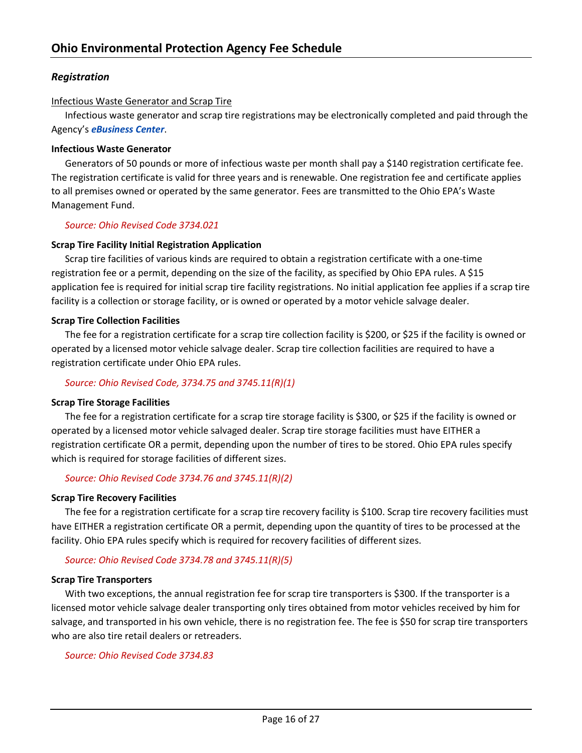# <span id="page-16-0"></span>*Registration*

#### <span id="page-16-1"></span>Infectious Waste Generator and Scrap Tire

Infectious waste generator and scrap tire registrations may be electronically completed and paid through the Agency's *[eBusiness Center](https://ebiz.epa.ohio.gov/)*.

#### **Infectious Waste Generator**

Generators of 50 pounds or more of infectious waste per month shall pay a \$140 registration certificate fee. The registration certificate is valid for three years and is renewable. One registration fee and certificate applies to all premises owned or operated by the same generator. Fees are transmitted to the Ohio EPA's Waste Management Fund.

#### *Source: Ohio Revised Code 3734.021*

#### **Scrap Tire Facility Initial Registration Application**

Scrap tire facilities of various kinds are required to obtain a registration certificate with a one-time registration fee or a permit, depending on the size of the facility, as specified by Ohio EPA rules. A \$15 application fee is required for initial scrap tire facility registrations. No initial application fee applies if a scrap tire facility is a collection or storage facility, or is owned or operated by a motor vehicle salvage dealer.

#### **Scrap Tire Collection Facilities**

The fee for a registration certificate for a scrap tire collection facility is \$200, or \$25 if the facility is owned or operated by a licensed motor vehicle salvage dealer. Scrap tire collection facilities are required to have a registration certificate under Ohio EPA rules.

#### *Source: Ohio Revised Code, 3734.75 and 3745.11(R)(1)*

#### **Scrap Tire Storage Facilities**

The fee for a registration certificate for a scrap tire storage facility is \$300, or \$25 if the facility is owned or operated by a licensed motor vehicle salvaged dealer. Scrap tire storage facilities must have EITHER a registration certificate OR a permit, depending upon the number of tires to be stored. Ohio EPA rules specify which is required for storage facilities of different sizes.

# *Source: Ohio Revised Code 3734.76 and 3745.11(R)(2)*

#### **Scrap Tire Recovery Facilities**

The fee for a registration certificate for a scrap tire recovery facility is \$100. Scrap tire recovery facilities must have EITHER a registration certificate OR a permit, depending upon the quantity of tires to be processed at the facility. Ohio EPA rules specify which is required for recovery facilities of different sizes.

# *Source: Ohio Revised Code 3734.78 and 3745.11(R)(5)*

#### **Scrap Tire Transporters**

With two exceptions, the annual registration fee for scrap tire transporters is \$300. If the transporter is a licensed motor vehicle salvage dealer transporting only tires obtained from motor vehicles received by him for salvage, and transported in his own vehicle, there is no registration fee. The fee is \$50 for scrap tire transporters who are also tire retail dealers or retreaders.

#### *Source: Ohio Revised Code 3734.83*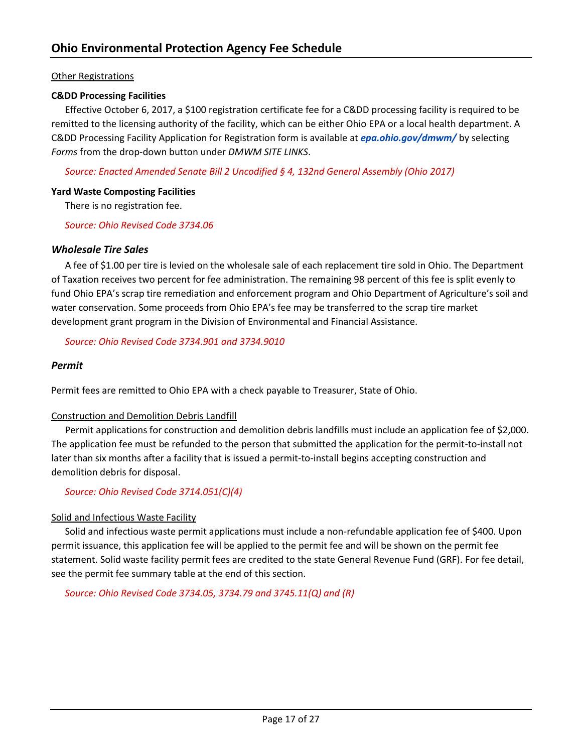## <span id="page-17-0"></span>Other Registrations

#### <span id="page-17-1"></span>**C&DD Processing Facilities**

Effective October 6, 2017, a \$100 registration certificate fee for a C&DD processing facility is required to be remitted to the licensing authority of the facility, which can be either Ohio EPA or a local health department. A C&DD Processing Facility Application for Registration form is available at *[epa.ohio.gov/dmwm/](https://epa.ohio.gov/dmwm/)* by selecting *Forms* from the drop-down button under *DMWM SITE LINKS*.

*Source: Enacted Amended Senate Bill 2 Uncodified § 4, 132nd General Assembly (Ohio 2017)*

#### <span id="page-17-2"></span>**Yard Waste Composting Facilities**

There is no registration fee.

*Source: Ohio Revised Code 3734.06* 

#### <span id="page-17-3"></span>*Wholesale Tire Sales*

A fee of \$1.00 per tire is levied on the wholesale sale of each replacement tire sold in Ohio. The Department of Taxation receives two percent for fee administration. The remaining 98 percent of this fee is split evenly to fund Ohio EPA's scrap tire remediation and enforcement program and Ohio Department of Agriculture's soil and water conservation. Some proceeds from Ohio EPA's fee may be transferred to the scrap tire market development grant program in the Division of Environmental and Financial Assistance.

#### *Source: Ohio Revised Code 3734.901 and 3734.9010*

#### <span id="page-17-4"></span>*Permit*

<span id="page-17-5"></span>Permit fees are remitted to Ohio EPA with a check payable to Treasurer, State of Ohio.

#### <span id="page-17-6"></span>Construction and Demolition Debris Landfill

Permit applications for construction and demolition debris landfills must include an application fee of \$2,000. The application fee must be refunded to the person that submitted the application for the permit-to-install not later than six months after a facility that is issued a permit-to-install begins accepting construction and demolition debris for disposal.

# *Source: Ohio Revised Code 3714.051(C)(4)*

# <span id="page-17-7"></span>Solid and Infectious Waste Facility

Solid and infectious waste permit applications must include a non-refundable application fee of \$400. Upon permit issuance, this application fee will be applied to the permit fee and will be shown on the permit fee statement. Solid waste facility permit fees are credited to the state General Revenue Fund (GRF). For fee detail, see the permit fee summary table at the end of this section.

*Source: Ohio Revised Code 3734.05, 3734.79 and 3745.11(Q) and (R)*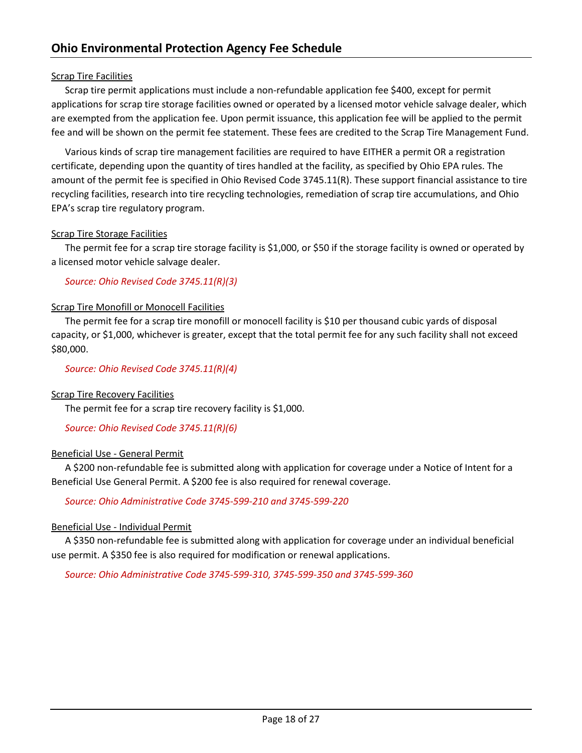# <span id="page-18-0"></span>Scrap Tire Facilities

Scrap tire permit applications must include a non-refundable application fee \$400, except for permit applications for scrap tire storage facilities owned or operated by a licensed motor vehicle salvage dealer, which are exempted from the application fee. Upon permit issuance, this application fee will be applied to the permit fee and will be shown on the permit fee statement. These fees are credited to the Scrap Tire Management Fund.

Various kinds of scrap tire management facilities are required to have EITHER a permit OR a registration certificate, depending upon the quantity of tires handled at the facility, as specified by Ohio EPA rules. The amount of the permit fee is specified in Ohio Revised Code 3745.11(R). These support financial assistance to tire recycling facilities, research into tire recycling technologies, remediation of scrap tire accumulations, and Ohio EPA's scrap tire regulatory program.

# <span id="page-18-1"></span>Scrap Tire Storage Facilities

The permit fee for a scrap tire storage facility is \$1,000, or \$50 if the storage facility is owned or operated by a licensed motor vehicle salvage dealer.

*Source: Ohio Revised Code 3745.11(R)(3)*

#### <span id="page-18-2"></span>Scrap Tire Monofill or Monocell Facilities

The permit fee for a scrap tire monofill or monocell facility is \$10 per thousand cubic yards of disposal capacity, or \$1,000, whichever is greater, except that the total permit fee for any such facility shall not exceed \$80,000.

*Source: Ohio Revised Code 3745.11(R)(4)*

#### <span id="page-18-3"></span>Scrap Tire Recovery Facilities

The permit fee for a scrap tire recovery facility is \$1,000.

#### *Source: Ohio Revised Code 3745.11(R)(6)*

#### <span id="page-18-4"></span>Beneficial Use - General Permit

A \$200 non-refundable fee is submitted along with application for coverage under a Notice of Intent for a Beneficial Use General Permit. A \$200 fee is also required for renewal coverage.

#### *Source: Ohio Administrative Code 3745-599-210 and 3745-599-220*

#### <span id="page-18-5"></span>Beneficial Use - Individual Permit

A \$350 non-refundable fee is submitted along with application for coverage under an individual beneficial use permit. A \$350 fee is also required for modification or renewal applications.

*Source: Ohio Administrative Code 3745-599-310, 3745-599-350 and 3745-599-360*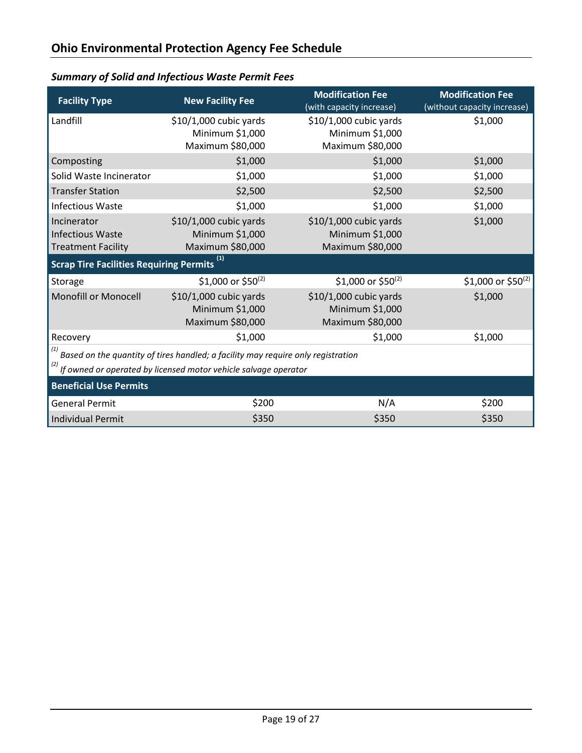| <b>Facility Type</b>                                                                                                                                | <b>New Facility Fee</b>                                       | <b>Modification Fee</b><br>(with capacity increase)           | <b>Modification Fee</b><br>(without capacity increase) |
|-----------------------------------------------------------------------------------------------------------------------------------------------------|---------------------------------------------------------------|---------------------------------------------------------------|--------------------------------------------------------|
| Landfill                                                                                                                                            | \$10/1,000 cubic yards<br>Minimum \$1,000<br>Maximum \$80,000 | \$10/1,000 cubic yards<br>Minimum \$1,000<br>Maximum \$80,000 | \$1,000                                                |
| Composting                                                                                                                                          | \$1,000                                                       | \$1,000                                                       | \$1,000                                                |
| Solid Waste Incinerator                                                                                                                             | \$1,000                                                       | \$1,000                                                       | \$1,000                                                |
| <b>Transfer Station</b>                                                                                                                             | \$2,500                                                       | \$2,500                                                       | \$2,500                                                |
| <b>Infectious Waste</b>                                                                                                                             | \$1,000                                                       | \$1,000                                                       | \$1,000                                                |
| Incinerator<br><b>Infectious Waste</b><br><b>Treatment Facility</b>                                                                                 | \$10/1,000 cubic yards<br>Minimum \$1,000<br>Maximum \$80,000 | \$10/1,000 cubic yards<br>Minimum \$1,000<br>Maximum \$80,000 | \$1,000                                                |
| Scrap Tire Facilities Requiring Permits <sup>(1)</sup>                                                                                              |                                                               |                                                               |                                                        |
| Storage                                                                                                                                             | \$1,000 or \$50(2)                                            | \$1,000 or \$50(2)                                            | \$1,000 or \$50(2)                                     |
| <b>Monofill or Monocell</b>                                                                                                                         | \$10/1,000 cubic yards<br>Minimum \$1,000<br>Maximum \$80,000 | \$10/1,000 cubic yards<br>Minimum \$1,000<br>Maximum \$80,000 | \$1,000                                                |
| Recovery                                                                                                                                            | \$1,000                                                       | \$1,000                                                       | \$1,000                                                |
| Based on the quantity of tires handled; a facility may require only registration<br>If owned or operated by licensed motor vehicle salvage operator |                                                               |                                                               |                                                        |
| <b>Beneficial Use Permits</b>                                                                                                                       |                                                               |                                                               |                                                        |
| <b>General Permit</b>                                                                                                                               | \$200                                                         | N/A                                                           | \$200                                                  |
| <b>Individual Permit</b>                                                                                                                            | \$350                                                         | \$350                                                         | \$350                                                  |

# <span id="page-19-0"></span>*Summary of Solid and Infectious Waste Permit Fees*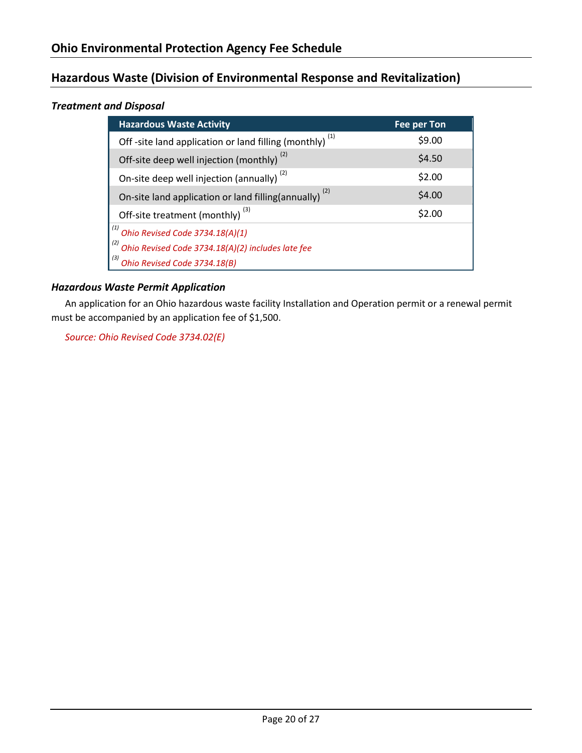# <span id="page-20-0"></span>**Hazardous Waste (Division of Environmental Response and Revitalization)**

# <span id="page-20-1"></span>*Treatment and Disposal*

| <b>Hazardous Waste Activity</b>                                   | Fee per Ton |
|-------------------------------------------------------------------|-------------|
| Off-site land application or land filling (monthly) $(1)$         | \$9.00      |
| Off-site deep well injection (monthly) <sup>(2)</sup>             | \$4.50      |
| On-site deep well injection (annually) <sup>(2)</sup>             | \$2.00      |
| On-site land application or land filling(annually) <sup>(2)</sup> | \$4.00      |
| Off-site treatment (monthly) <sup>(3)</sup>                       | \$2.00      |
| $\overline{R}^{(1)}$ Ohio Revised Code 3734.18(A)(1)              |             |
| (2)<br>Ohio Revised Code 3734.18(A)(2) includes late fee          |             |
| Ohio Revised Code 3734.18(B)                                      |             |

# <span id="page-20-2"></span>*Hazardous Waste Permit Application*

An application for an Ohio hazardous waste facility Installation and Operation permit or a renewal permit must be accompanied by an application fee of \$1,500.

*Source: Ohio Revised Code 3734.02(E)*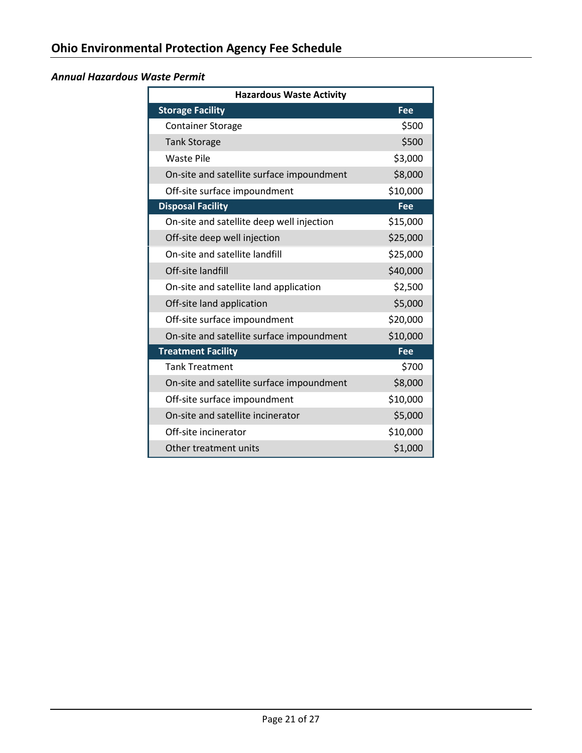# <span id="page-21-0"></span>*Annual Hazardous Waste Permit*

| <b>Hazardous Waste Activity</b>           |          |  |
|-------------------------------------------|----------|--|
| <b>Storage Facility</b>                   | Fee      |  |
| <b>Container Storage</b>                  | \$500    |  |
| <b>Tank Storage</b>                       | \$500    |  |
| <b>Waste Pile</b>                         | \$3,000  |  |
| On-site and satellite surface impoundment | \$8,000  |  |
| Off-site surface impoundment              | \$10,000 |  |
| <b>Disposal Facility</b>                  | Fee      |  |
| On-site and satellite deep well injection | \$15,000 |  |
| Off-site deep well injection              | \$25,000 |  |
| On-site and satellite landfill            | \$25,000 |  |
| Off-site landfill                         | \$40,000 |  |
| On-site and satellite land application    | \$2,500  |  |
| Off-site land application                 | \$5,000  |  |
| Off-site surface impoundment              | \$20,000 |  |
| On-site and satellite surface impoundment | \$10,000 |  |
| <b>Treatment Facility</b>                 | Fee      |  |
| <b>Tank Treatment</b>                     | \$700    |  |
| On-site and satellite surface impoundment | \$8,000  |  |
| Off-site surface impoundment              | \$10,000 |  |
| On-site and satellite incinerator         | \$5,000  |  |
| Off-site incinerator                      | \$10,000 |  |
| Other treatment units                     | \$1,000  |  |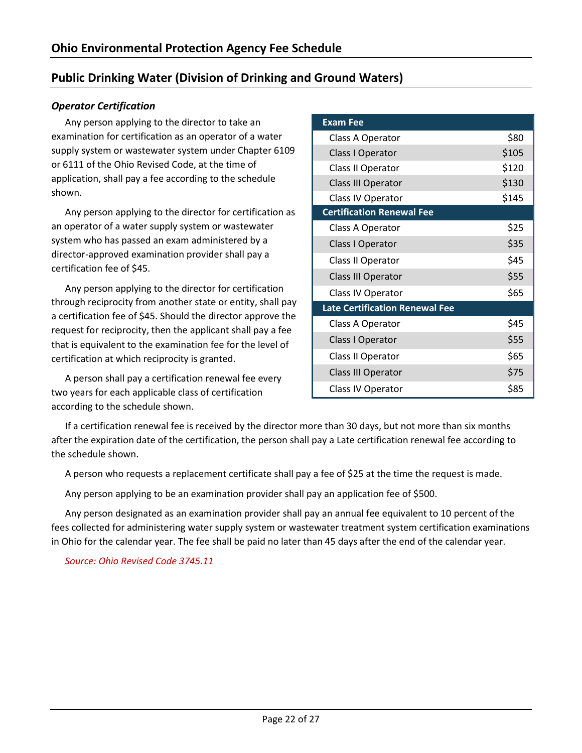# <span id="page-22-0"></span>**Public Drinking Water (Division of Drinking and Ground Waters)**

# <span id="page-22-1"></span>*Operator Certification*

Any person applying to the director to take an examination for certification as an operator of a water supply system or wastewater system under Chapter 6109 or 6111 of the Ohio Revised Code, at the time of application, shall pay a fee according to the schedule shown.

Any person applying to the director for certification as an operator of a water supply system or wastewater system who has passed an exam administered by a director-approved examination provider shall pay a certification fee of \$45.

Any person applying to the director for certification through reciprocity from another state or entity, shall pay a certification fee of \$45. Should the director approve the request for reciprocity, then the applicant shall pay a fee that is equivalent to the examination fee for the level of certification at which reciprocity is granted.

A person shall pay a certification renewal fee every two years for each applicable class of certification according to the schedule shown.

| <b>Exam Fee</b>                       |       |
|---------------------------------------|-------|
| Class A Operator                      | \$80  |
| Class I Operator                      | \$105 |
| Class II Operator                     | \$120 |
| <b>Class III Operator</b>             | \$130 |
| Class IV Operator                     | \$145 |
| <b>Certification Renewal Fee</b>      |       |
| Class A Operator                      | \$25  |
| Class I Operator                      | \$35  |
| Class II Operator                     | \$45  |
| <b>Class III Operator</b>             | \$55  |
| Class IV Operator                     | \$65  |
| <b>Late Certification Renewal Fee</b> |       |
| Class A Operator                      | \$45  |
| Class I Operator                      | \$55  |
| Class II Operator                     | \$65  |
| <b>Class III Operator</b>             | \$75  |
| Class IV Operator                     | \$85  |

If a certification renewal fee is received by the director more than 30 days, but not more than six months after the expiration date of the certification, the person shall pay a Late certification renewal fee according to the schedule shown.

A person who requests a replacement certificate shall pay a fee of \$25 at the time the request is made.

Any person applying to be an examination provider shall pay an application fee of \$500.

Any person designated as an examination provider shall pay an annual fee equivalent to 10 percent of the fees collected for administering water supply system or wastewater treatment system certification examinations in Ohio for the calendar year. The fee shall be paid no later than 45 days after the end of the calendar year.

*Source: Ohio Revised Code 3745.11*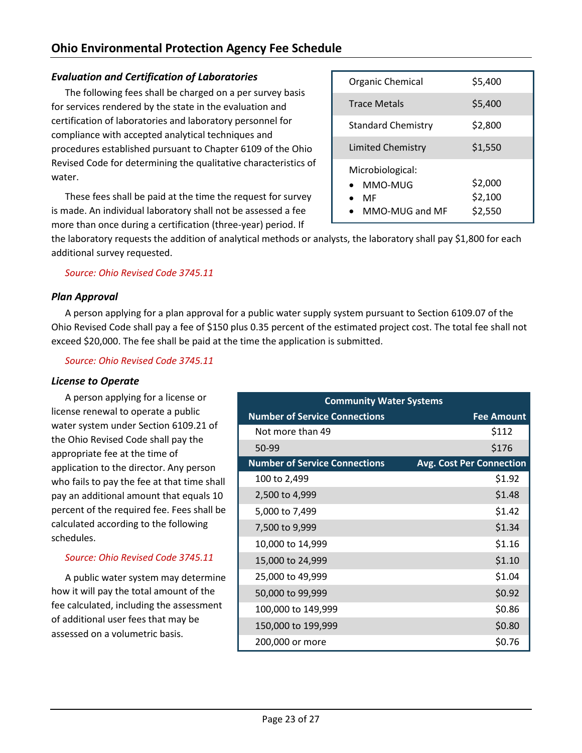# <span id="page-23-0"></span>*Evaluation and Certification of Laboratories*

The following fees shall be charged on a per survey basis for services rendered by the state in the evaluation and certification of laboratories and laboratory personnel for compliance with accepted analytical techniques and procedures established pursuant to Chapter 6109 of the Ohio Revised Code for determining the qualitative characteristics of water.

These fees shall be paid at the time the request for survey is made. An individual laboratory shall not be assessed a fee more than once during a certification (three-year) period. If

| Organic Chemical                                    | \$5,400                       |
|-----------------------------------------------------|-------------------------------|
| <b>Trace Metals</b>                                 | \$5,400                       |
| <b>Standard Chemistry</b>                           | \$2,800                       |
| <b>Limited Chemistry</b>                            | \$1,550                       |
| Microbiological:<br>MMO-MUG<br>MF<br>MMO-MUG and MF | \$2,000<br>\$2,100<br>\$2,550 |

the laboratory requests the addition of analytical methods or analysts, the laboratory shall pay \$1,800 for each additional survey requested.

*Source: Ohio Revised Code 3745.11*

# <span id="page-23-1"></span>*Plan Approval*

A person applying for a plan approval for a public water supply system pursuant to Section 6109.07 of the Ohio Revised Code shall pay a fee of \$150 plus 0.35 percent of the estimated project cost. The total fee shall not exceed \$20,000. The fee shall be paid at the time the application is submitted.

*Source: Ohio Revised Code 3745.11*

# <span id="page-23-2"></span>*License to Operate*

A person applying for a license or license renewal to operate a public water system under Section 6109.21 of the Ohio Revised Code shall pay the appropriate fee at the time of application to the director. Any person who fails to pay the fee at that time shall pay an additional amount that equals 10 percent of the required fee. Fees shall be calculated according to the following schedules.

# *Source: Ohio Revised Code 3745.11*

A public water system may determine how it will pay the total amount of the fee calculated, including the assessment of additional user fees that may be assessed on a volumetric basis.

| <b>Community Water Systems</b>       |                                 |  |
|--------------------------------------|---------------------------------|--|
| <b>Number of Service Connections</b> | <b>Fee Amount</b>               |  |
| Not more than 49                     | \$112                           |  |
| 50-99                                | \$176                           |  |
| <b>Number of Service Connections</b> | <b>Avg. Cost Per Connection</b> |  |
| 100 to 2,499                         | \$1.92                          |  |
| 2,500 to 4,999                       | \$1.48                          |  |
| 5,000 to 7,499                       | \$1.42                          |  |
| 7,500 to 9,999                       | \$1.34                          |  |
| 10,000 to 14,999                     | \$1.16                          |  |
| 15,000 to 24,999                     | \$1.10                          |  |
| 25,000 to 49,999                     | \$1.04                          |  |
| 50,000 to 99,999                     | \$0.92                          |  |
| 100,000 to 149,999                   | \$0.86                          |  |
| 150,000 to 199,999                   | \$0.80                          |  |
| 200,000 or more                      | \$0.76                          |  |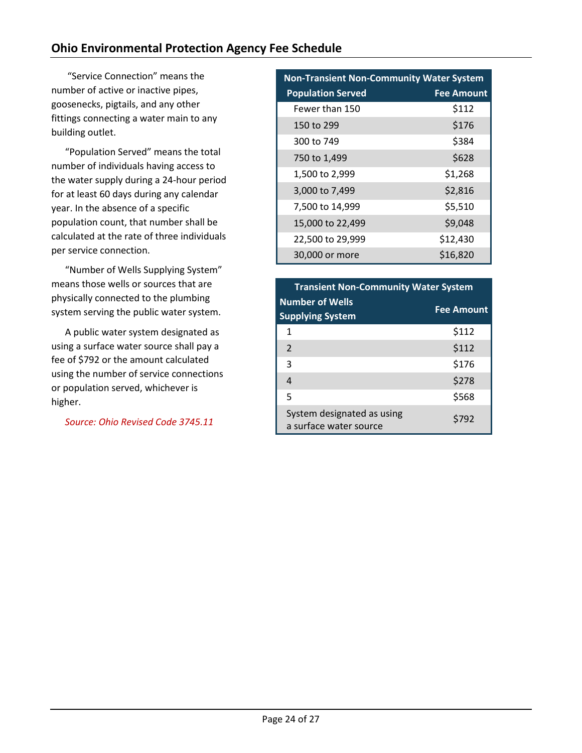# **Ohio Environmental Protection Agency Fee Schedule**

"Service Connection" means the number of active or inactive pipes, goosenecks, pigtails, and any other fittings connecting a water main to any building outlet.

"Population Served" means the total number of individuals having access to the water supply during a 24-hour period for at least 60 days during any calendar year. In the absence of a specific population count, that number shall be calculated at the rate of three individuals per service connection.

"Number of Wells Supplying System" means those wells or sources that are physically connected to the plumbing system serving the public water system.

A public water system designated as using a surface water source shall pay a fee of \$792 or the amount calculated using the number of service connections or population served, whichever is higher.

*Source: Ohio Revised Code 3745.11*

| <b>Non-Transient Non-Community Water System</b> |                   |  |
|-------------------------------------------------|-------------------|--|
| <b>Population Served</b>                        | <b>Fee Amount</b> |  |
| Fewer than 150                                  | \$112             |  |
| 150 to 299                                      | \$176             |  |
| 300 to 749                                      | \$384             |  |
| 750 to 1,499                                    | \$628             |  |
| 1,500 to 2,999                                  | \$1,268           |  |
| 3,000 to 7,499                                  | \$2,816           |  |
| 7,500 to 14,999                                 | \$5,510           |  |
| 15,000 to 22,499                                | \$9,048           |  |
| 22,500 to 29,999                                | \$12,430          |  |
| 30,000 or more                                  | \$16,820          |  |

| <b>Transient Non-Community Water System</b>          |                   |
|------------------------------------------------------|-------------------|
| <b>Number of Wells</b><br><b>Supplying System</b>    | <b>Fee Amount</b> |
| 1                                                    | \$112             |
| $\mathcal{P}$                                        | \$112             |
| 3                                                    | \$176             |
| 4                                                    | \$278             |
| 5                                                    | \$568             |
| System designated as using<br>a surface water source | \$792             |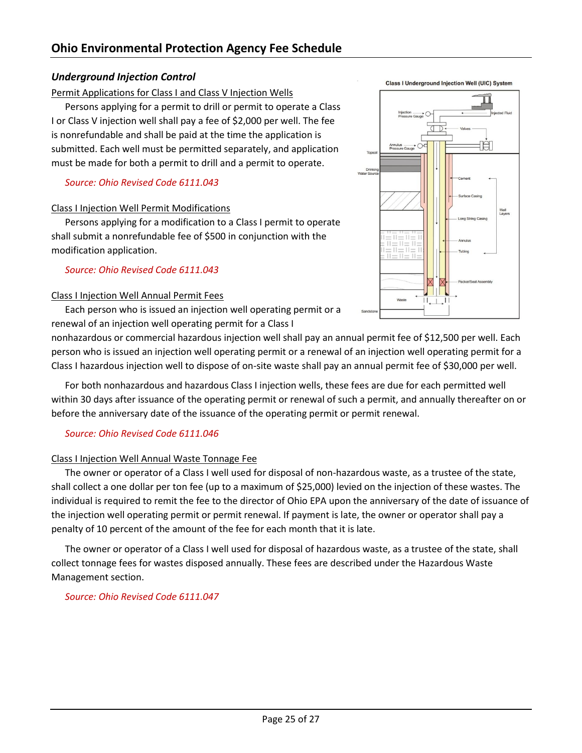# <span id="page-25-0"></span>*Underground Injection Control*

# <span id="page-25-1"></span>Permit Applications for Class I and Class V Injection Wells

Persons applying for a permit to drill or permit to operate a Class I or Class V injection well shall pay a fee of \$2,000 per well. The fee is nonrefundable and shall be paid at the time the application is submitted. Each well must be permitted separately, and application must be made for both a permit to drill and a permit to operate.

# *Source: Ohio Revised Code 6111.043*

# <span id="page-25-2"></span>Class I Injection Well Permit Modifications

Persons applying for a modification to a Class I permit to operate shall submit a nonrefundable fee of \$500 in conjunction with the modification application.

# *Source: Ohio Revised Code 6111.043*

# <span id="page-25-3"></span>Class I Injection Well Annual Permit Fees

Each person who is issued an injection well operating permit or a renewal of an injection well operating permit for a Class I

nonhazardous or commercial hazardous injection well shall pay an annual permit fee of \$12,500 per well. Each person who is issued an injection well operating permit or a renewal of an injection well operating permit for a Class I hazardous injection well to dispose of on-site waste shall pay an annual permit fee of \$30,000 per well.

For both nonhazardous and hazardous Class I injection wells, these fees are due for each permitted well within 30 days after issuance of the operating permit or renewal of such a permit, and annually thereafter on or before the anniversary date of the issuance of the operating permit or permit renewal.

# *Source: Ohio Revised Code 6111.046*

# <span id="page-25-4"></span>Class I Injection Well Annual Waste Tonnage Fee

The owner or operator of a Class I well used for disposal of non-hazardous waste, as a trustee of the state, shall collect a one dollar per ton fee (up to a maximum of \$25,000) levied on the injection of these wastes. The individual is required to remit the fee to the director of Ohio EPA upon the anniversary of the date of issuance of the injection well operating permit or permit renewal. If payment is late, the owner or operator shall pay a penalty of 10 percent of the amount of the fee for each month that it is late.

The owner or operator of a Class I well used for disposal of hazardous waste, as a trustee of the state, shall collect tonnage fees for wastes disposed annually. These fees are described under the Hazardous Waste Management section.

*Source: Ohio Revised Code 6111.047*

**Class I Underground Injection Well (UIC) System** 

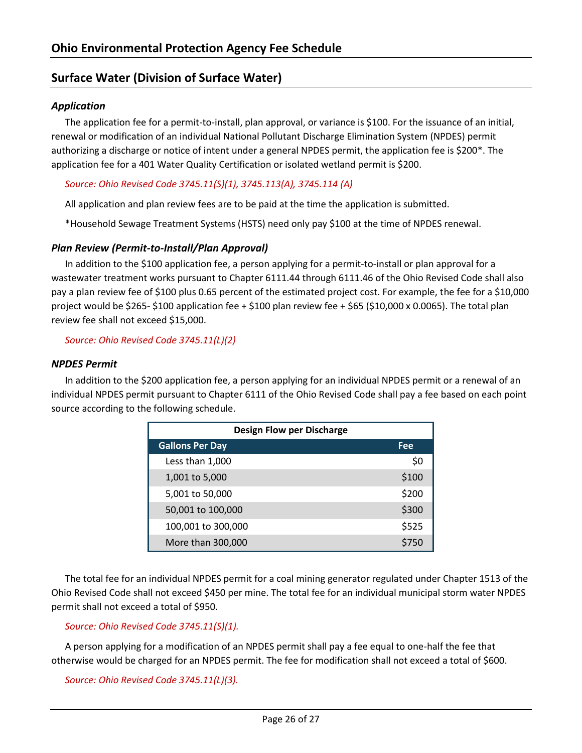# <span id="page-26-0"></span>**Surface Water (Division of Surface Water)**

# <span id="page-26-1"></span>*Application*

The application fee for a permit-to-install, plan approval, or variance is \$100. For the issuance of an initial, renewal or modification of an individual National Pollutant Discharge Elimination System (NPDES) permit authorizing a discharge or notice of intent under a general NPDES permit, the application fee is \$200\*. The application fee for a 401 Water Quality Certification or isolated wetland permit is \$200.

# *Source: Ohio Revised Code 3745.11(S)(1), 3745.113(A), 3745.114 (A)*

All application and plan review fees are to be paid at the time the application is submitted.

\*Household Sewage Treatment Systems (HSTS) need only pay \$100 at the time of NPDES renewal.

# <span id="page-26-2"></span>*Plan Review (Permit-to-Install/Plan Approval)*

In addition to the \$100 application fee, a person applying for a permit-to-install or plan approval for a wastewater treatment works pursuant to Chapter 6111.44 through 6111.46 of the Ohio Revised Code shall also pay a plan review fee of \$100 plus 0.65 percent of the estimated project cost. For example, the fee for a \$10,000 project would be \$265- \$100 application fee + \$100 plan review fee + \$65 (\$10,000 x 0.0065). The total plan review fee shall not exceed \$15,000.

*Source: Ohio Revised Code 3745.11(L)(2)*

# <span id="page-26-3"></span>*NPDES Permit*

In addition to the \$200 application fee, a person applying for an individual NPDES permit or a renewal of an individual NPDES permit pursuant to Chapter 6111 of the Ohio Revised Code shall pay a fee based on each point source according to the following schedule.

| <b>Design Flow per Discharge</b> |       |  |
|----------------------------------|-------|--|
| <b>Gallons Per Day</b>           | Fee   |  |
| Less than 1,000                  | \$0   |  |
| 1,001 to 5,000                   | \$100 |  |
| 5,001 to 50,000                  | \$200 |  |
| 50,001 to 100,000                | \$300 |  |
| 100,001 to 300,000               | \$525 |  |
| More than 300,000                | \$750 |  |

The total fee for an individual NPDES permit for a coal mining generator regulated under Chapter 1513 of the Ohio Revised Code shall not exceed \$450 per mine. The total fee for an individual municipal storm water NPDES permit shall not exceed a total of \$950.

# *Source: Ohio Revised Code 3745.11(S)(1).*

A person applying for a modification of an NPDES permit shall pay a fee equal to one-half the fee that otherwise would be charged for an NPDES permit. The fee for modification shall not exceed a total of \$600.

*Source: Ohio Revised Code 3745.11(L)(3).*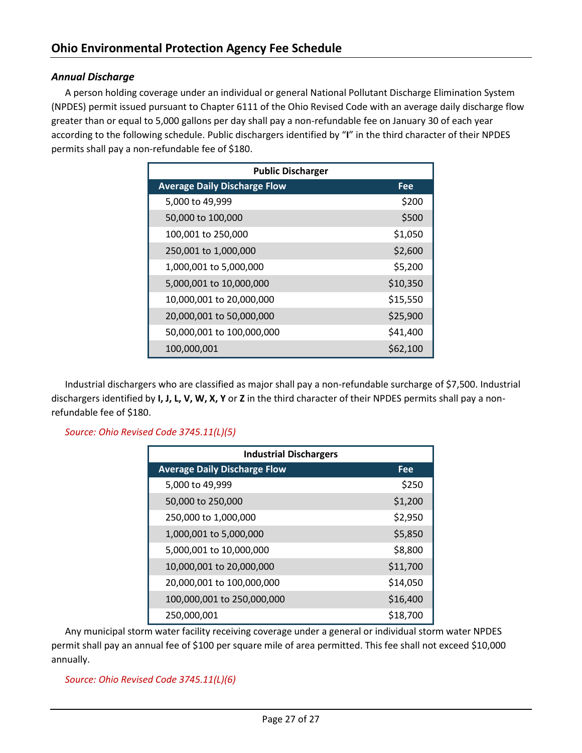# <span id="page-27-0"></span>*Annual Discharge*

A person holding coverage under an individual or general National Pollutant Discharge Elimination System (NPDES) permit issued pursuant to Chapter 6111 of the Ohio Revised Code with an average daily discharge flow greater than or equal to 5,000 gallons per day shall pay a non-refundable fee on January 30 of each year according to the following schedule. Public dischargers identified by "**I**" in the third character of their NPDES permits shall pay a non-refundable fee of \$180.

| <b>Public Discharger</b>            |            |  |
|-------------------------------------|------------|--|
| <b>Average Daily Discharge Flow</b> | <b>Fee</b> |  |
| 5,000 to 49,999                     | \$200      |  |
| 50,000 to 100,000                   | \$500      |  |
| 100,001 to 250,000                  | \$1,050    |  |
| 250,001 to 1,000,000                | \$2,600    |  |
| 1,000,001 to 5,000,000              | \$5,200    |  |
| 5,000,001 to 10,000,000             | \$10,350   |  |
| 10,000,001 to 20,000,000            | \$15,550   |  |
| 20,000,001 to 50,000,000            | \$25,900   |  |
| 50,000,001 to 100,000,000           | \$41,400   |  |
| 100,000,001                         | \$62,100   |  |

Industrial dischargers who are classified as major shall pay a non-refundable surcharge of \$7,500. Industrial dischargers identified by **I, J, L, V, W, X, Y** or **Z** in the third character of their NPDES permits shall pay a nonrefundable fee of \$180.

*Source: Ohio Revised Code 3745.11(L)(5)*

| <b>Industrial Dischargers</b>       |          |  |
|-------------------------------------|----------|--|
| <b>Average Daily Discharge Flow</b> | Fee      |  |
| 5,000 to 49,999                     | \$250    |  |
| 50,000 to 250,000                   | \$1,200  |  |
| 250,000 to 1,000,000                | \$2,950  |  |
| 1,000,001 to 5,000,000              | \$5,850  |  |
| 5,000,001 to 10,000,000             | \$8,800  |  |
| 10,000,001 to 20,000,000            | \$11,700 |  |
| 20,000,001 to 100,000,000           | \$14,050 |  |
| 100,000,001 to 250,000,000          | \$16,400 |  |
| 250,000,001                         | \$18,700 |  |

Any municipal storm water facility receiving coverage under a general or individual storm water NPDES permit shall pay an annual fee of \$100 per square mile of area permitted. This fee shall not exceed \$10,000 annually.

*Source: Ohio Revised Code 3745.11(L)(6)*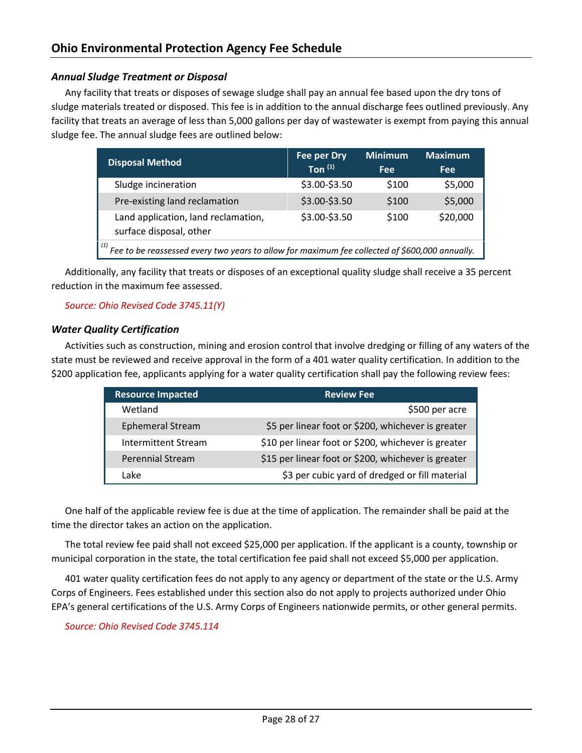# <span id="page-28-0"></span>*Annual Sludge Treatment or Disposal*

Any facility that treats or disposes of sewage sludge shall pay an annual fee based upon the dry tons of sludge materials treated or disposed. This fee is in addition to the annual discharge fees outlined previously. Any facility that treats an average of less than 5,000 gallons per day of wastewater is exempt from paying this annual sludge fee. The annual sludge fees are outlined below:

| <b>Disposal Method</b>                                                                         | Fee per Dry   | <b>Minimum</b> | <b>Maximum</b> |
|------------------------------------------------------------------------------------------------|---------------|----------------|----------------|
|                                                                                                | Ton $(1)$     | Fee            | <b>Fee</b>     |
| Sludge incineration                                                                            | \$3.00-\$3.50 | \$100          | \$5,000        |
| Pre-existing land reclamation                                                                  | \$3.00-\$3.50 | \$100          | \$5,000        |
| Land application, land reclamation,<br>surface disposal, other                                 | \$3.00-\$3.50 | \$100          | \$20,000       |
| Fee to be reassessed every two years to allow for maximum fee collected of \$600,000 annually. |               |                |                |

Additionally, any facility that treats or disposes of an exceptional quality sludge shall receive a 35 percent reduction in the maximum fee assessed.

#### *Source: Ohio Revised Code 3745.11(Y)*

#### <span id="page-28-1"></span>*Water Quality Certification*

Activities such as construction, mining and erosion control that involve dredging or filling of any waters of the state must be reviewed and receive approval in the form of a 401 water quality certification. In addition to the \$200 application fee, applicants applying for a water quality certification shall pay the following review fees:

| <b>Resource Impacted</b> | <b>Review Fee</b>                                   |
|--------------------------|-----------------------------------------------------|
| Wetland                  | \$500 per acre                                      |
| <b>Ephemeral Stream</b>  | \$5 per linear foot or \$200, whichever is greater  |
| Intermittent Stream      | \$10 per linear foot or \$200, whichever is greater |
| <b>Perennial Stream</b>  | \$15 per linear foot or \$200, whichever is greater |
| Lake                     | \$3 per cubic yard of dredged or fill material      |

One half of the applicable review fee is due at the time of application. The remainder shall be paid at the time the director takes an action on the application.

The total review fee paid shall not exceed \$25,000 per application. If the applicant is a county, township or municipal corporation in the state, the total certification fee paid shall not exceed \$5,000 per application.

401 water quality certification fees do not apply to any agency or department of the state or the U.S. Army Corps of Engineers. Fees established under this section also do not apply to projects authorized under Ohio EPA's general certifications of the U.S. Army Corps of Engineers nationwide permits, or other general permits.

*Source: Ohio Revised Code 3745.114*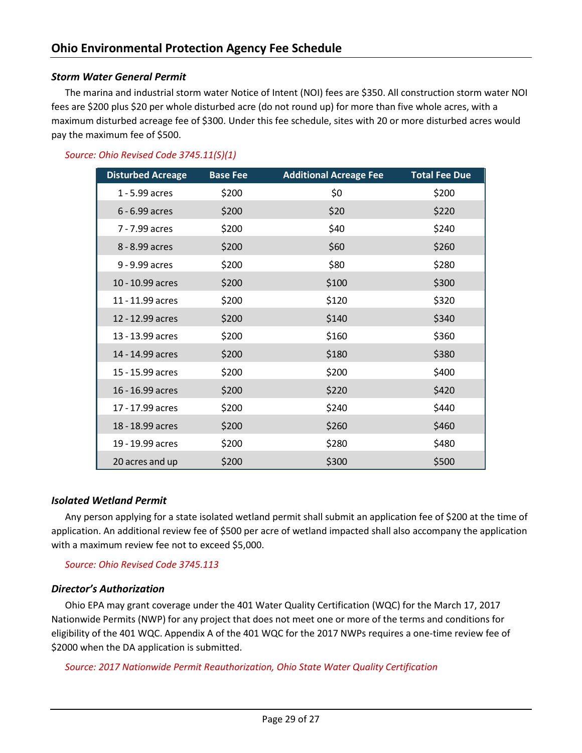# <span id="page-29-0"></span>*Storm Water General Permit*

The marina and industrial storm water Notice of Intent (NOI) fees are \$350. All construction storm water NOI fees are \$200 plus \$20 per whole disturbed acre (do not round up) for more than five whole acres, with a maximum disturbed acreage fee of \$300. Under this fee schedule, sites with 20 or more disturbed acres would pay the maximum fee of \$500.

# *Source: Ohio Revised Code 3745.11(S)(1)*

| <b>Disturbed Acreage</b> | <b>Base Fee</b> | <b>Additional Acreage Fee</b> | <b>Total Fee Due</b> |
|--------------------------|-----------------|-------------------------------|----------------------|
| 1 - 5.99 acres           | \$200           | \$0                           | \$200                |
| $6 - 6.99$ acres         | \$200           | \$20                          | \$220                |
| 7 - 7.99 acres           | \$200           | \$40                          | \$240                |
| 8 - 8.99 acres           | \$200           | \$60                          | \$260                |
| 9 - 9.99 acres           | \$200           | \$80                          | \$280                |
| 10 - 10.99 acres         | \$200           | \$100                         | \$300                |
| 11 - 11.99 acres         | \$200           | \$120                         | \$320                |
| 12 - 12.99 acres         | \$200           | \$140                         | \$340                |
| 13 - 13.99 acres         | \$200           | \$160                         | \$360                |
| 14 - 14.99 acres         | \$200           | \$180                         | \$380                |
| 15 - 15.99 acres         | \$200           | \$200                         | \$400                |
| 16 - 16.99 acres         | \$200           | \$220                         | \$420                |
| 17 - 17.99 acres         | \$200           | \$240                         | \$440                |
| 18 - 18.99 acres         | \$200           | \$260                         | \$460                |
| 19 - 19.99 acres         | \$200           | \$280                         | \$480                |
| 20 acres and up          | \$200           | \$300                         | \$500                |

#### <span id="page-29-1"></span>*Isolated Wetland Permit*

Any person applying for a state isolated wetland permit shall submit an application fee of \$200 at the time of application. An additional review fee of \$500 per acre of wetland impacted shall also accompany the application with a maximum review fee not to exceed \$5,000.

*Source: Ohio Revised Code 3745.113*

# <span id="page-29-2"></span>*Director's Authorization*

Ohio EPA may grant coverage under the 401 Water Quality Certification (WQC) for the March 17, 2017 Nationwide Permits (NWP) for any project that does not meet one or more of the terms and conditions for eligibility of the 401 WQC. Appendix A of the 401 WQC for the 2017 NWPs requires a one-time review fee of \$2000 when the DA application is submitted.

*Source: 2017 Nationwide Permit Reauthorization, Ohio State Water Quality Certification*